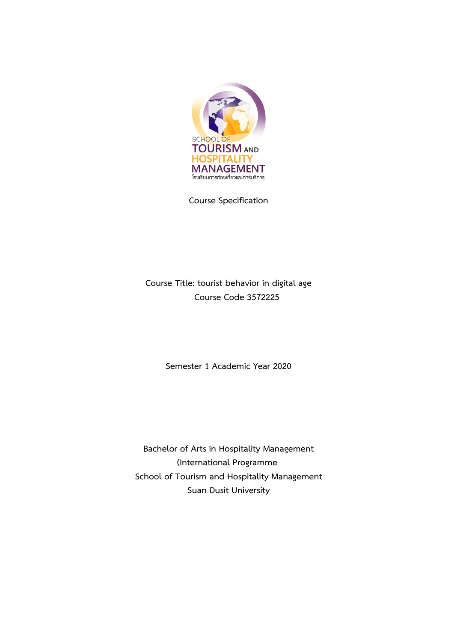

**Course Specification**

**Course Title: tourist behavior in digital age Course Code 3572225**

**Semester 1 Academic Year 2020**

**Bachelor of Arts in Hospitality Management (International Programme School of Tourism and Hospitality Management Suan Dusit University**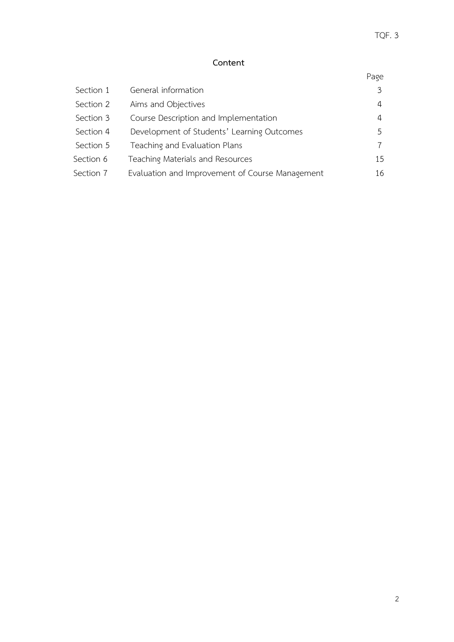# **Content**

| Section 1 | General information                             | 3  |
|-----------|-------------------------------------------------|----|
| Section 2 | Aims and Objectives                             | 4  |
| Section 3 | Course Description and Implementation           | 4  |
| Section 4 | Development of Students' Learning Outcomes      | 5  |
| Section 5 | Teaching and Evaluation Plans                   |    |
| Section 6 | Teaching Materials and Resources                | 15 |
| Section 7 | Evaluation and Improvement of Course Management | 16 |
|           |                                                 |    |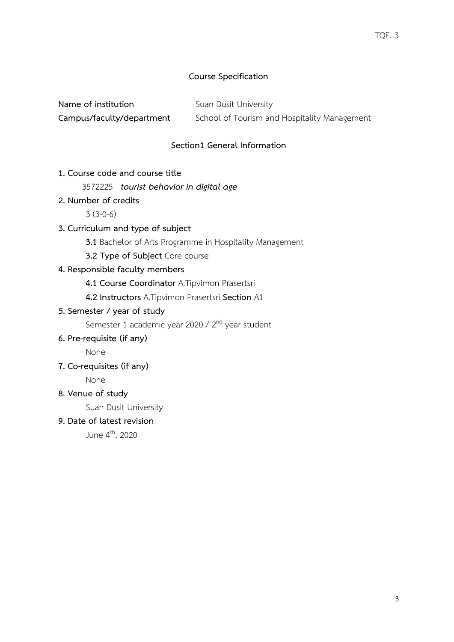### **Course Specification**

**Name of institution** Suan Dusit University

**Campus/faculty/department** School of Tourism and Hospitality Management

# **Section1 General Information**

**1. Course code and course title**

### 3572225 *tourist behavior in digital age*

**2. Number of credits**

 $3(3-0-6)$ 

- **3. Curriculum and type of subject**
	- **3.1** Bachelor of Arts Programme in Hospitality Management
	- **3.2 Type of Subject** Core course

### **4. Responsible faculty members**

- **4.1 Course Coordinator** A.Tipvimon Prasertsri
- **4.2 Instructors** A.Tipvimon Prasertsri **Section** A1
- **5. Semester / year of study**

Semester 1 academic year 2020 / 2<sup>nd</sup> year student

**6. Pre-requisite (if any)**

None

**7. Co-requisites (if any)**

None

**8. Venue of study**

Suan Dusit University

**9. Date of latest revision**

June 4th, 2020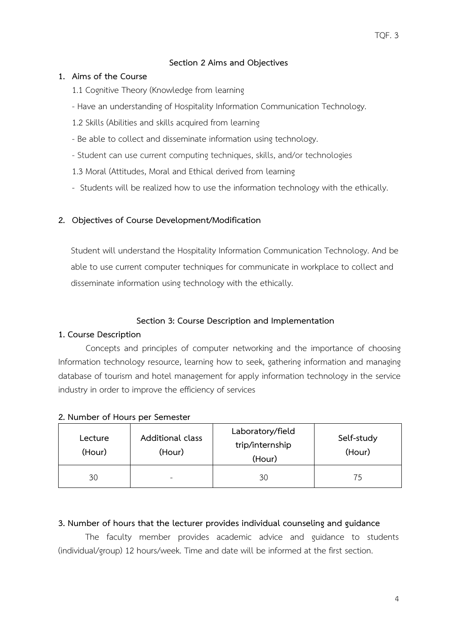### **Section 2 Aims and Objectives**

### **1. Aims of the Course**

- 1.1 Cognitive Theory (Knowledge from learning
- Have an understanding of Hospitality Information Communication Technology.
- 1.2 Skills (Abilities and skills acquired from learning
- Be able to collect and disseminate information using technology.
- Student can use current computing techniques, skills, and/or technologies
- 1.3 Moral (Attitudes, Moral and Ethical derived from learning
- Students will be realized how to use the information technology with the ethically.

# **2. Objectives of Course Development/Modification**

Student will understand the Hospitality Information Communication Technology. And be able to use current computer techniques for communicate in workplace to collect and disseminate information using technology with the ethically.

## **Section 3: Course Description and Implementation**

## **1. Course Description**

Concepts and principles of computer networking and the importance of choosing Information technology resource, learning how to seek, gathering information and managing database of tourism and hotel management for apply information technology in the service industry in order to improve the efficiency of services

#### **2. Number of Hours per Semester**

| Lecture<br>(Hour) | Additional class<br>(Hour) | Laboratory/field<br>trip/internship<br>(Hour) | Self-study<br>(Hour) |
|-------------------|----------------------------|-----------------------------------------------|----------------------|
| 30                | $\sim$                     | 30                                            | 75                   |

## **3. Number of hours that the lecturer provides individual counseling and guidance**

The faculty member provides academic advice and guidance to students (individual/group) 12 hours/week. Time and date will be informed at the first section.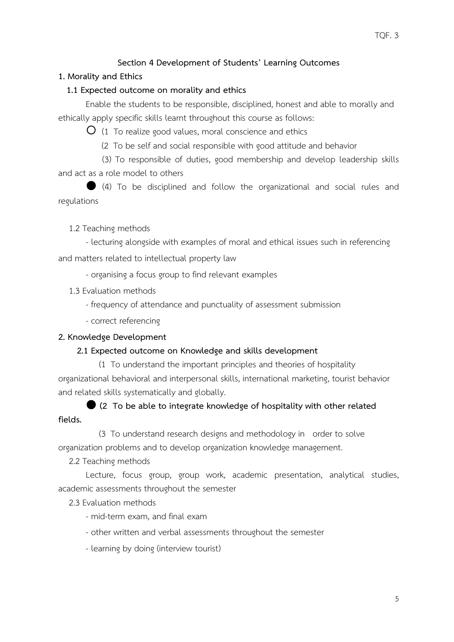### TQF. 3

# **Section 4 Development of Students' Learning Outcomes**

# **1. Morality and Ethics**

## **1.1 Expected outcome on morality and ethics**

Enable the students to be responsible, disciplined, honest and able to morally and ethically apply specific skills learnt throughout this course as follows:

 $\overline{O}$  (1 To realize good values, moral conscience and ethics

(2 To be self and social responsible with good attitude and behavior

(3) To responsible of duties, good membership and develop leadership skills and act as a role model to others

 (4) To be disciplined and follow the organizational and social rules and regulations

1.2 Teaching methods

- lecturing alongside with examples of moral and ethical issues such in referencing

and matters related to intellectual property law

- organising a focus group to find relevant examples

1.3 Evaluation methods

- frequency of attendance and punctuality of assessment submission

- correct referencing

## **2. Knowledge Development**

## **2.1 Expected outcome on Knowledge and skills development**

 (1 To understand the important principles and theories of hospitality organizational behavioral and interpersonal skills, international marketing, tourist behavior and related skills systematically and globally.

 **(2 To be able to integrate knowledge of hospitality with other related fields.**

 (3 To understand research designs and methodology in order to solve organization problems and to develop organization knowledge management.

2.2 Teaching methods

Lecture, focus group, group work, academic presentation, analytical studies, academic assessments throughout the semester

2.3 Evaluation methods

- mid-term exam, and final exam

- other written and verbal assessments throughout the semester

- learning by doing (interview tourist)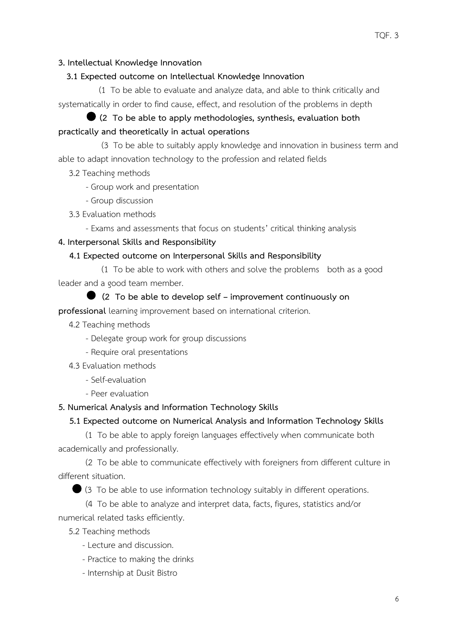# **3. Intellectual Knowledge Innovation**

# **3.1 Expected outcome on Intellectual Knowledge Innovation**

 (1 To be able to evaluate and analyze data, and able to think critically and systematically in order to find cause, effect, and resolution of the problems in depth

# **(2 To be able to apply methodologies, synthesis, evaluation both practically and theoretically in actual operations**

 (3 To be able to suitably apply knowledge and innovation in business term and able to adapt innovation technology to the profession and related fields

- 3.2 Teaching methods
	- Group work and presentation
	- Group discussion
- 3.3 Evaluation methods
	- Exams and assessments that focus on students' critical thinking analysis

# **4. Interpersonal Skills and Responsibility**

# **4.1 Expected outcome on Interpersonal Skills and Responsibility**

 (1 To be able to work with others and solve the problems both as a good leader and a good team member.

# **(2 To be able to develop self – improvement continuously on**

**professional** learning improvement based on international criterion.

- 4.2 Teaching methods
	- Delegate group work for group discussions
	- Require oral presentations
- 4.3 Evaluation methods
	- Self-evaluation
	- Peer evaluation

# **5. Numerical Analysis and Information Technology Skills**

# **5.1 Expected outcome on Numerical Analysis and Information Technology Skills**

(1 To be able to apply foreign languages effectively when communicate both academically and professionally.

(2 To be able to communicate effectively with foreigners from different culture in different situation.

(3 To be able to use information technology suitably in different operations.

(4 To be able to analyze and interpret data, facts, figures, statistics and/or numerical related tasks efficiently.

5.2 Teaching methods

- Lecture and discussion.
- Practice to making the drinks
- Internship at Dusit Bistro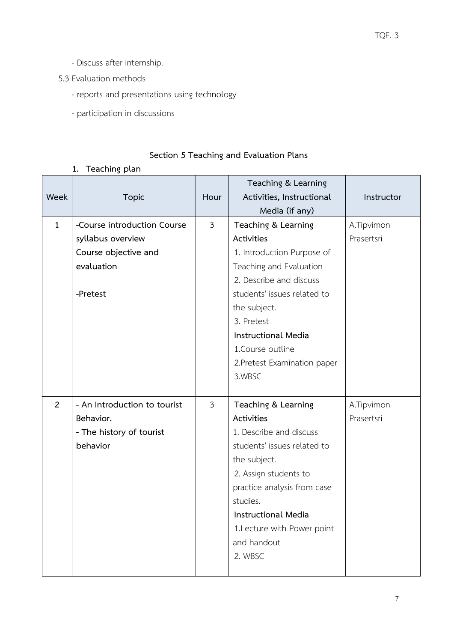- Discuss after internship.

5.3 Evaluation methods

- reports and presentations using technology
- participation in discussions

# **Section 5 Teaching and Evaluation Plans**

# **1. Teaching plan**

|              |                              |                | Teaching & Learning          |            |
|--------------|------------------------------|----------------|------------------------------|------------|
| Week         | <b>Topic</b>                 | Hour           | Activities, Instructional    | Instructor |
|              |                              |                | Media (if any)               |            |
| $\mathbf{1}$ | -Course introduction Course  | $\mathfrak{Z}$ | Teaching & Learning          | A.Tipvimon |
|              | syllabus overview            |                | Activities                   | Prasertsri |
|              | Course objective and         |                | 1. Introduction Purpose of   |            |
|              | evaluation                   |                | Teaching and Evaluation      |            |
|              |                              |                | 2. Describe and discuss      |            |
|              | -Pretest                     |                | students' issues related to  |            |
|              |                              |                | the subject.                 |            |
|              |                              |                | 3. Pretest                   |            |
|              |                              |                | <b>Instructional Media</b>   |            |
|              |                              |                | 1. Course outline            |            |
|              |                              |                | 2. Pretest Examination paper |            |
|              |                              |                | 3.WBSC                       |            |
|              |                              |                |                              |            |
| 2            | - An Introduction to tourist | $\mathfrak{Z}$ | Teaching & Learning          | A.Tipvimon |
|              | Behavior.                    |                | Activities                   | Prasertsri |
|              | - The history of tourist     |                | 1. Describe and discuss      |            |
|              | behavior                     |                | students' issues related to  |            |
|              |                              |                | the subject.                 |            |
|              |                              |                | 2. Assign students to        |            |
|              |                              |                | practice analysis from case  |            |
|              |                              |                | studies.                     |            |
|              |                              |                | <b>Instructional Media</b>   |            |
|              |                              |                | 1. Lecture with Power point  |            |
|              |                              |                | and handout                  |            |
|              |                              |                | 2. WBSC                      |            |
|              |                              |                |                              |            |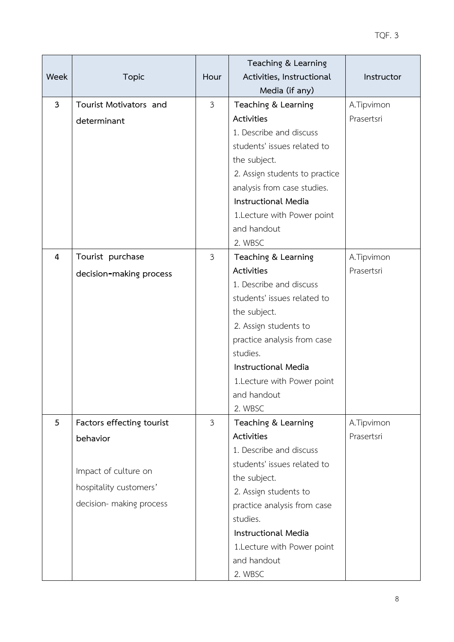|                |                           |                | Teaching & Learning            |            |
|----------------|---------------------------|----------------|--------------------------------|------------|
| Week           | <b>Topic</b>              | Hour           | Activities, Instructional      | Instructor |
|                |                           |                | Media (if any)                 |            |
| $\overline{3}$ | Tourist Motivators and    | $\mathfrak{Z}$ | Teaching & Learning            | A.Tipvimon |
|                | determinant               |                | Activities                     | Prasertsri |
|                |                           |                | 1. Describe and discuss        |            |
|                |                           |                | students' issues related to    |            |
|                |                           |                | the subject.                   |            |
|                |                           |                | 2. Assign students to practice |            |
|                |                           |                | analysis from case studies.    |            |
|                |                           |                | <b>Instructional Media</b>     |            |
|                |                           |                | 1. Lecture with Power point    |            |
|                |                           |                | and handout                    |            |
|                |                           |                | 2. WBSC                        |            |
| $\overline{4}$ | Tourist purchase          | $\mathfrak{Z}$ | Teaching & Learning            | A.Tipvimon |
|                | decision-making process   |                | Activities                     | Prasertsri |
|                |                           |                | 1. Describe and discuss        |            |
|                |                           |                | students' issues related to    |            |
|                |                           |                | the subject.                   |            |
|                |                           |                | 2. Assign students to          |            |
|                |                           |                | practice analysis from case    |            |
|                |                           |                | studies.                       |            |
|                |                           |                | <b>Instructional Media</b>     |            |
|                |                           |                | 1. Lecture with Power point    |            |
|                |                           |                | and handout                    |            |
|                |                           |                | 2. WBSC                        |            |
| 5              | Factors effecting tourist | $\mathfrak{Z}$ | Teaching & Learning            | A.Tipvimon |
|                | behavior                  |                | Activities                     | Prasertsri |
|                |                           |                | 1. Describe and discuss        |            |
|                | Impact of culture on      |                | students' issues related to    |            |
|                |                           |                | the subject.                   |            |
|                | hospitality customers'    |                | 2. Assign students to          |            |
|                | decision- making process  |                | practice analysis from case    |            |
|                |                           |                | studies.                       |            |
|                |                           |                | <b>Instructional Media</b>     |            |
|                |                           |                | 1. Lecture with Power point    |            |
|                |                           |                | and handout                    |            |
|                |                           |                | 2. WBSC                        |            |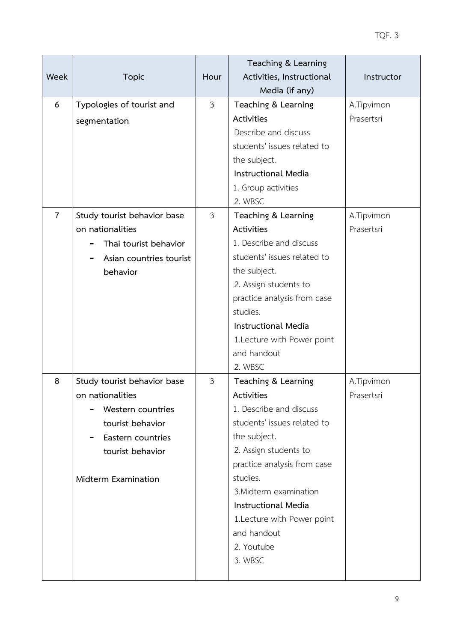| Week           | <b>Topic</b>                | Hour           | Teaching & Learning<br>Activities, Instructional | Instructor |
|----------------|-----------------------------|----------------|--------------------------------------------------|------------|
|                |                             |                | Media (if any)                                   |            |
| 6              | Typologies of tourist and   | $\mathfrak{Z}$ | Teaching & Learning                              | A.Tipvimon |
|                | segmentation                |                | Activities                                       | Prasertsri |
|                |                             |                | Describe and discuss                             |            |
|                |                             |                | students' issues related to                      |            |
|                |                             |                | the subject.                                     |            |
|                |                             |                | <b>Instructional Media</b>                       |            |
|                |                             |                | 1. Group activities                              |            |
|                |                             |                | 2. WBSC                                          |            |
| $\overline{7}$ | Study tourist behavior base | $\mathfrak{Z}$ | Teaching & Learning                              | A.Tipvimon |
|                | on nationalities            |                | Activities                                       | Prasertsri |
|                | Thai tourist behavior       |                | 1. Describe and discuss                          |            |
|                | Asian countries tourist     |                | students' issues related to                      |            |
|                | behavior                    |                | the subject.                                     |            |
|                |                             |                | 2. Assign students to                            |            |
|                |                             |                | practice analysis from case                      |            |
|                |                             |                | studies.                                         |            |
|                |                             |                | <b>Instructional Media</b>                       |            |
|                |                             |                | 1. Lecture with Power point                      |            |
|                |                             |                | and handout                                      |            |
|                |                             |                | 2. WBSC                                          |            |
| 8              | Study tourist behavior base | $\mathfrak{Z}$ | Teaching & Learning                              | A.Tipvimon |
|                | on nationalities            |                | Activities                                       | Prasertsri |
|                | Western countries           |                | 1. Describe and discuss                          |            |
|                | tourist behavior            |                | students' issues related to                      |            |
|                | Eastern countries           |                | the subject.                                     |            |
|                | tourist behavior            |                | 2. Assign students to                            |            |
|                |                             |                | practice analysis from case                      |            |
|                | Midterm Examination         |                | studies.<br>3. Midterm examination               |            |
|                |                             |                | <b>Instructional Media</b>                       |            |
|                |                             |                | 1. Lecture with Power point                      |            |
|                |                             |                | and handout                                      |            |
|                |                             |                | 2. Youtube                                       |            |
|                |                             |                | 3. WBSC                                          |            |
|                |                             |                |                                                  |            |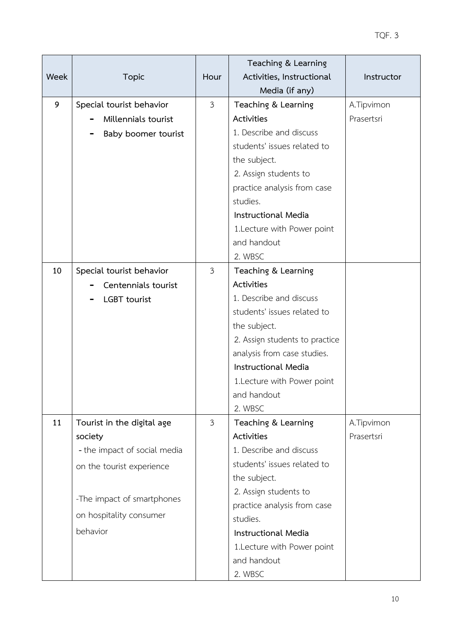|      |                              |                | Teaching & Learning                     |            |
|------|------------------------------|----------------|-----------------------------------------|------------|
| Week | <b>Topic</b>                 | Hour           | Activities, Instructional               | Instructor |
|      |                              |                | Media (if any)                          |            |
| 9    | Special tourist behavior     | $\mathfrak{Z}$ | Teaching & Learning                     | A.Tipvimon |
|      | Millennials tourist          |                | Activities                              | Prasertsri |
|      | Baby boomer tourist          |                | 1. Describe and discuss                 |            |
|      |                              |                | students' issues related to             |            |
|      |                              |                | the subject.                            |            |
|      |                              |                | 2. Assign students to                   |            |
|      |                              |                | practice analysis from case             |            |
|      |                              |                | studies.                                |            |
|      |                              |                | <b>Instructional Media</b>              |            |
|      |                              |                | 1. Lecture with Power point             |            |
|      |                              |                | and handout                             |            |
|      |                              |                | 2. WBSC                                 |            |
| 10   | Special tourist behavior     | $\mathfrak{Z}$ | Teaching & Learning                     |            |
|      | Centennials tourist          |                | Activities                              |            |
|      | <b>LGBT</b> tourist          |                | 1. Describe and discuss                 |            |
|      |                              |                | students' issues related to             |            |
|      |                              |                | the subject.                            |            |
|      |                              |                | 2. Assign students to practice          |            |
|      |                              |                | analysis from case studies.             |            |
|      |                              |                | <b>Instructional Media</b>              |            |
|      |                              |                | 1. Lecture with Power point             |            |
|      |                              |                | and handout                             |            |
|      |                              |                | 2. WBSC                                 |            |
| 11   | Tourist in the digital age   | $\mathfrak{Z}$ | Teaching & Learning                     | A.Tipvimon |
|      | society                      |                | Activities                              | Prasertsri |
|      | - the impact of social media |                | 1. Describe and discuss                 |            |
|      | on the tourist experience    |                | students' issues related to             |            |
|      |                              |                | the subject.                            |            |
|      | -The impact of smartphones   |                | 2. Assign students to                   |            |
|      | on hospitality consumer      |                | practice analysis from case<br>studies. |            |
|      | behavior                     |                | Instructional Media                     |            |
|      |                              |                | 1. Lecture with Power point             |            |
|      |                              |                | and handout                             |            |
|      |                              |                | 2. WBSC                                 |            |
|      |                              |                |                                         |            |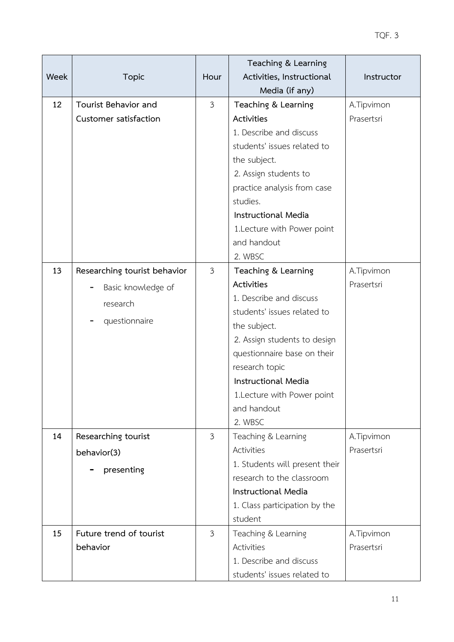|      |                              |                | Teaching & Learning            |            |
|------|------------------------------|----------------|--------------------------------|------------|
| Week | <b>Topic</b>                 | Hour           | Activities, Instructional      | Instructor |
|      |                              |                | Media (if any)                 |            |
| 12   | Tourist Behavior and         | $\mathfrak{Z}$ | Teaching & Learning            | A.Tipvimon |
|      | Customer satisfaction        |                | Activities                     | Prasertsri |
|      |                              |                | 1. Describe and discuss        |            |
|      |                              |                | students' issues related to    |            |
|      |                              |                | the subject.                   |            |
|      |                              |                | 2. Assign students to          |            |
|      |                              |                | practice analysis from case    |            |
|      |                              |                | studies.                       |            |
|      |                              |                | <b>Instructional Media</b>     |            |
|      |                              |                | 1. Lecture with Power point    |            |
|      |                              |                | and handout                    |            |
|      |                              |                | 2. WBSC                        |            |
| 13   | Researching tourist behavior | $\mathfrak{Z}$ | Teaching & Learning            | A.Tipvimon |
|      | Basic knowledge of           |                | Activities                     | Prasertsri |
|      | research                     |                | 1. Describe and discuss        |            |
|      |                              |                | students' issues related to    |            |
|      | questionnaire                |                | the subject.                   |            |
|      |                              |                | 2. Assign students to design   |            |
|      |                              |                | questionnaire base on their    |            |
|      |                              |                | research topic                 |            |
|      |                              |                | Instructional Media            |            |
|      |                              |                | 1. Lecture with Power point    |            |
|      |                              |                | and handout                    |            |
|      |                              |                | 2. WBSC                        |            |
| 14   | Researching tourist          | 3              | Teaching & Learning            | A.Tipvimon |
|      | behavior(3)                  |                | Activities                     | Prasertsri |
|      | presenting                   |                | 1. Students will present their |            |
|      |                              |                | research to the classroom      |            |
|      |                              |                | <b>Instructional Media</b>     |            |
|      |                              |                | 1. Class participation by the  |            |
|      |                              |                | student                        |            |
| 15   | Future trend of tourist      | $\mathfrak{Z}$ | Teaching & Learning            | A.Tipvimon |
|      | behavior                     |                | Activities                     | Prasertsri |
|      |                              |                | 1. Describe and discuss        |            |
|      |                              |                | students' issues related to    |            |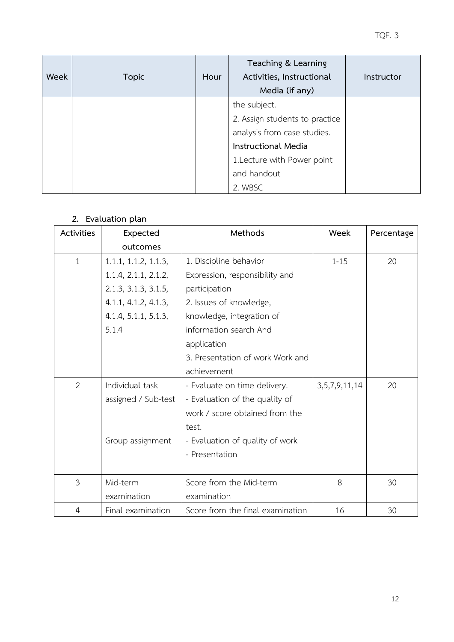| Week | <b>Topic</b> | Hour | Teaching & Learning<br>Activities, Instructional<br>Media (if any) | Instructor |
|------|--------------|------|--------------------------------------------------------------------|------------|
|      |              |      | the subject.                                                       |            |
|      |              |      | 2. Assign students to practice                                     |            |
|      |              |      | analysis from case studies.                                        |            |
|      |              |      | <b>Instructional Media</b>                                         |            |
|      |              |      | 1. Lecture with Power point                                        |            |
|      |              |      | and handout                                                        |            |
|      |              |      | 2. WBSC                                                            |            |

### **2. Evaluation plan**

| Activities     | Expected             | Methods                          | Week               | Percentage |
|----------------|----------------------|----------------------------------|--------------------|------------|
|                | outcomes             |                                  |                    |            |
| $\mathbf{1}$   | 1.1.1, 1.1.2, 1.1.3, | 1. Discipline behavior           | $1 - 15$           | 20         |
|                | 1.1.4, 2.1.1, 2.1.2, | Expression, responsibility and   |                    |            |
|                | 2.1.3, 3.1.3, 3.1.5, | participation                    |                    |            |
|                | 4.1.1, 4.1.2, 4.1.3, | 2. Issues of knowledge,          |                    |            |
|                | 4.1.4, 5.1.1, 5.1.3, | knowledge, integration of        |                    |            |
|                | 5.1.4                | information search And           |                    |            |
|                |                      | application                      |                    |            |
|                |                      | 3. Presentation of work Work and |                    |            |
|                |                      | achievement                      |                    |            |
| $\overline{2}$ | Individual task      | - Evaluate on time delivery.     | 3, 5, 7, 9, 11, 14 | 20         |
|                | assigned / Sub-test  | - Evaluation of the quality of   |                    |            |
|                |                      | work / score obtained from the   |                    |            |
|                |                      | test.                            |                    |            |
|                | Group assignment     | - Evaluation of quality of work  |                    |            |
|                |                      | - Presentation                   |                    |            |
|                |                      |                                  |                    |            |
| 3              | Mid-term             | Score from the Mid-term          | 8                  | 30         |
|                | examination          | examination                      |                    |            |
| 4              | Final examination    | Score from the final examination | 16                 | 30         |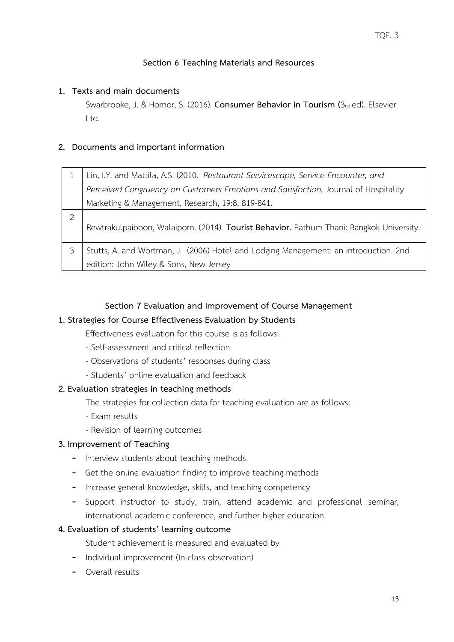# **Section 6 Teaching Materials and Resources**

### **1. Texts and main documents**

Swarbrooke, J. & Hornor, S. (2016). **Consumer Behavior in Tourism (**3nd ed). Elsevier Ltd.

### **2. Documents and important information**

|   | Lin, I.Y. and Mattila, A.S. (2010. Restaurant Servicescape, Service Encounter, and       |
|---|------------------------------------------------------------------------------------------|
|   | Perceived Congruency on Customers Emotions and Satisfaction, Journal of Hospitality      |
|   | Marketing & Management, Research, 19:8, 819-841.                                         |
| っ | Rewtrakulpaiboon, Walaiporn. (2014). Tourist Behavior. Pathum Thani: Bangkok University. |
|   | Stutts, A. and Wortman, J. (2006) Hotel and Lodging Management: an introduction. 2nd     |
|   | edition: John Wiley & Sons, New Jersey                                                   |

### **Section 7 Evaluation and Improvement of Course Management**

### **1. Strategies for Course Effectiveness Evaluation by Students**

Effectiveness evaluation for this course is as follows:

- Self-assessment and critical reflection
- Observations of students' responses during class
- Students' online evaluation and feedback

## **2. Evaluation strategies in teaching methods**

The strategies for collection data for teaching evaluation are as follows:

- Exam results
- Revision of learning outcomes

## **3. Improvement of Teaching**

- Interview students about teaching methods
- Get the online evaluation finding to improve teaching methods
- Increase general knowledge, skills, and teaching competency
- Support instructor to study, train, attend academic and professional seminar, international academic conference, and further higher education

### **4. Evaluation of students' learning outcome**

Student achievement is measured and evaluated by

- Individual improvement (In-class observation)
- Overall results